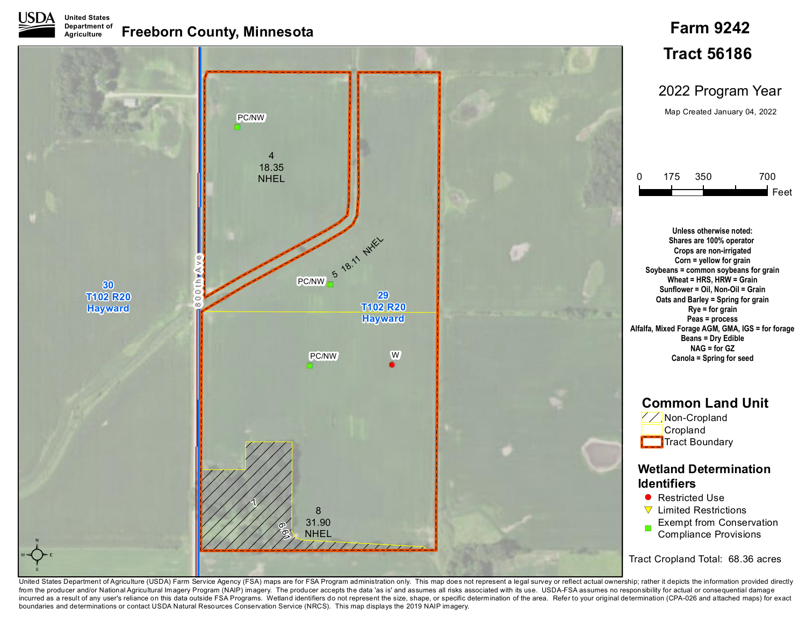

## **Freeborn County, Minnesota Department of Agriculture**



**Farm 9242**

United States Department of Agriculture (USDA) Farm Service Agency (FSA) maps are for FSA Program administration only. This map does not represent a legal survey or reflect actual ownership; rather it depicts the informati from the producer and/or National Agricultural Imagery Program (NAIP) imagery. The producer accepts the data 'as is' and assumes all risks associated with its use. USDA-FSA assumes no responsibility for actual or consequen incurred as a result of any user's reliance on this data outside FSA Programs. Wetland identifiers do not represent the size, shape, or specific determination of the area. Refer to your original determination (CPA-026 and boundaries and determinations or contact USDA Natural Resources Conservation Service (NRCS). This map displays the 2019 NAIP imagery.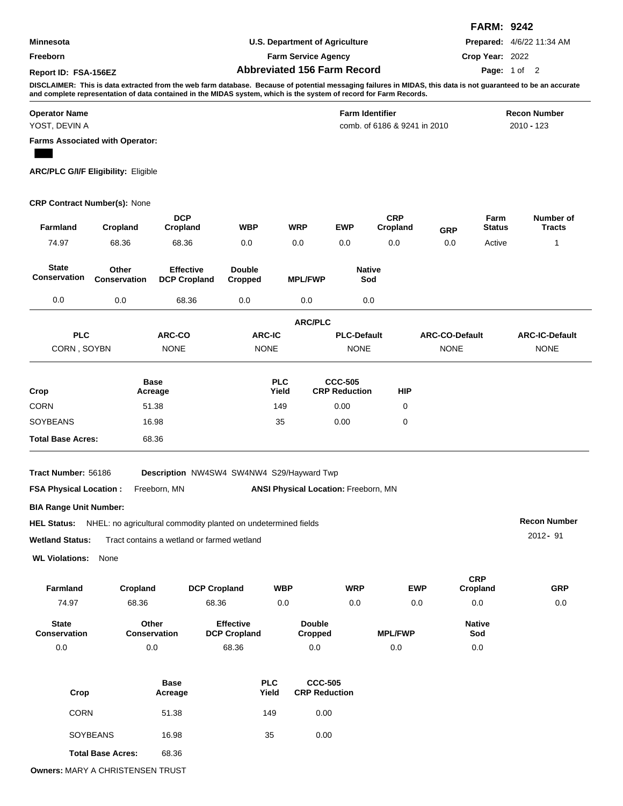|                      |                                    | <b>FARM: 9242</b>                |
|----------------------|------------------------------------|----------------------------------|
| <b>Minnesota</b>     | U.S. Department of Agriculture     | <b>Prepared:</b> 4/6/22 11:34 AM |
| <b>Freeborn</b>      | <b>Farm Service Agency</b>         | Crop Year: 2022                  |
| Report ID: FSA-156EZ | <b>Abbreviated 156 Farm Record</b> | <b>Page:</b> 1 of 2              |

**DISCLAIMER: This is data extracted from the web farm database. Because of potential messaging failures in MIDAS, this data is not guaranteed to be an accurate and complete representation of data contained in the MIDAS system, which is the system of record for Farm Records.**

| <b>Operator Name</b>                   | <b>Farm Identifier</b>       | <b>Recon Number</b> |
|----------------------------------------|------------------------------|---------------------|
| YOST, DEVIN A                          | comb. of 6186 & 9241 in 2010 | 2010 - 123          |
| <b>Farms Associated with Operator:</b> |                              |                     |

**ARC/PLC G/I/F Eligibility:** Eligible

## **CRP Contract Number(s):** None

| <b>Farmland</b>                                                                                                                                                                                   | Cropland                        | <b>DCP</b><br>Cropland                  | WBP                                     | WRP                        | <b>EWP</b>                                     |                      | <b>CRP</b><br>Cropland | <b>GRP</b>            | Farm<br><b>Status</b>  | Number of<br><b>Tracts</b> |  |  |  |
|---------------------------------------------------------------------------------------------------------------------------------------------------------------------------------------------------|---------------------------------|-----------------------------------------|-----------------------------------------|----------------------------|------------------------------------------------|----------------------|------------------------|-----------------------|------------------------|----------------------------|--|--|--|
| 74.97                                                                                                                                                                                             | 68.36                           | 68.36                                   | 0.0                                     | 0.0                        | 0.0                                            |                      | 0.0                    | 0.0                   | Active                 | 1                          |  |  |  |
| <b>State</b><br><b>Conservation</b>                                                                                                                                                               | Other<br><b>Conservation</b>    | <b>Effective</b><br><b>DCP Cropland</b> | <b>Double</b><br>Cropped                |                            | <b>MPL/FWP</b>                                 | <b>Native</b><br>Sod |                        |                       |                        |                            |  |  |  |
| 0.0                                                                                                                                                                                               | 0.0                             | 68.36                                   | 0.0                                     |                            | 0.0                                            | 0.0                  |                        |                       |                        |                            |  |  |  |
| <b>ARC/PLC</b>                                                                                                                                                                                    |                                 |                                         |                                         |                            |                                                |                      |                        |                       |                        |                            |  |  |  |
| <b>PLC</b>                                                                                                                                                                                        |                                 | ARC-CO                                  | <b>ARC-IC</b>                           |                            |                                                | <b>PLC-Default</b>   |                        | <b>ARC-CO-Default</b> |                        | <b>ARC-IC-Default</b>      |  |  |  |
| CORN, SOYBN                                                                                                                                                                                       |                                 | <b>NONE</b>                             |                                         | <b>NONE</b>                |                                                | <b>NONE</b>          |                        | <b>NONE</b>           |                        | <b>NONE</b>                |  |  |  |
| Crop                                                                                                                                                                                              |                                 | <b>Base</b><br>Acreage                  |                                         | <b>PLC</b><br>Yield        | <b>CCC-505</b><br><b>CRP Reduction</b>         |                      | <b>HIP</b>             |                       |                        |                            |  |  |  |
| <b>CORN</b>                                                                                                                                                                                       |                                 | 51.38                                   |                                         | 149                        |                                                | 0.00                 |                        |                       |                        |                            |  |  |  |
| <b>SOYBEANS</b>                                                                                                                                                                                   |                                 | 16.98                                   |                                         | 35                         |                                                | 0.00                 |                        |                       |                        |                            |  |  |  |
| <b>Total Base Acres:</b>                                                                                                                                                                          |                                 | 68.36                                   |                                         |                            |                                                |                      |                        |                       |                        |                            |  |  |  |
| Tract Number: 56186<br>Description NW4SW4 SW4NW4 S29/Hayward Twp<br>Freeborn, MN<br><b>ANSI Physical Location: Freeborn, MN</b><br><b>FSA Physical Location:</b><br><b>BIA Range Unit Number:</b> |                                 |                                         |                                         |                            |                                                |                      |                        |                       |                        |                            |  |  |  |
|                                                                                                                                                                                                   |                                 |                                         |                                         |                            |                                                |                      |                        |                       |                        | <b>Recon Number</b>        |  |  |  |
| <b>HEL Status:</b> NHEL: no agricultural commodity planted on undetermined fields<br><b>Wetland Status:</b><br>Tract contains a wetland or farmed wetland                                         |                                 |                                         |                                         |                            |                                                |                      |                        |                       |                        | $2012 - 91$                |  |  |  |
| <b>WL Violations:</b>                                                                                                                                                                             | None                            |                                         |                                         |                            |                                                |                      |                        |                       |                        |                            |  |  |  |
| Farmland                                                                                                                                                                                          | Cropland                        | <b>DCP Cropland</b>                     |                                         | <b>WBP</b>                 |                                                | <b>WRP</b>           | <b>EWP</b>             |                       | <b>CRP</b><br>Cropland | <b>GRP</b>                 |  |  |  |
| 74.97                                                                                                                                                                                             | 68.36                           | 68.36                                   |                                         | 0.0                        |                                                | 0.0                  | 0.0                    |                       | 0.0                    | 0.0                        |  |  |  |
| <b>State</b><br>Conservation                                                                                                                                                                      | Other<br><b>Conservation</b>    |                                         | <b>Effective</b><br><b>DCP Cropland</b> |                            | <b>Double</b><br><b>Cropped</b>                |                      | <b>MPL/FWP</b>         |                       | <b>Native</b><br>Sod   |                            |  |  |  |
| 0.0                                                                                                                                                                                               | 0.0                             |                                         | 68.36                                   |                            | 0.0                                            |                      | 0.0                    |                       | 0.0                    |                            |  |  |  |
| Crop<br><b>CORN</b>                                                                                                                                                                               | <b>Base</b><br>Acreage<br>51.38 |                                         |                                         | <b>PLC</b><br>Yield<br>149 | <b>CCC-505</b><br><b>CRP Reduction</b><br>0.00 |                      |                        |                       |                        |                            |  |  |  |
|                                                                                                                                                                                                   |                                 |                                         |                                         |                            |                                                |                      |                        |                       |                        |                            |  |  |  |

**Total Base Acres:** 68.36

SOYBEANS 16.98 35 0.00